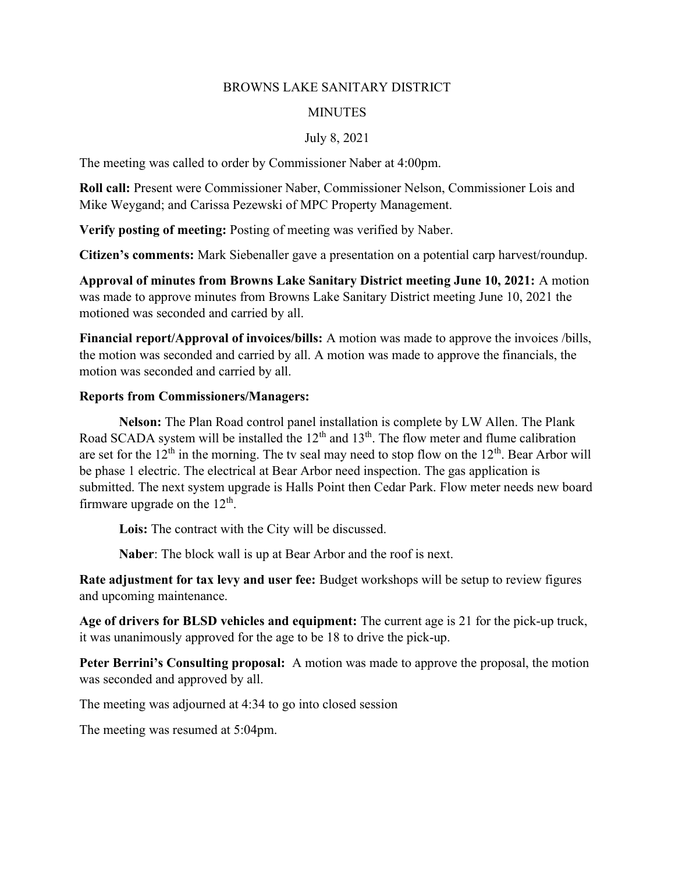## BROWNS LAKE SANITARY DISTRICT

## **MINUTES**

## July 8, 2021

The meeting was called to order by Commissioner Naber at 4:00pm.

Roll call: Present were Commissioner Naber, Commissioner Nelson, Commissioner Lois and Mike Weygand; and Carissa Pezewski of MPC Property Management.

Verify posting of meeting: Posting of meeting was verified by Naber.

Citizen's comments: Mark Siebenaller gave a presentation on a potential carp harvest/roundup.

Approval of minutes from Browns Lake Sanitary District meeting June 10, 2021: A motion was made to approve minutes from Browns Lake Sanitary District meeting June 10, 2021 the motioned was seconded and carried by all.

Financial report/Approval of invoices/bills: A motion was made to approve the invoices /bills, the motion was seconded and carried by all. A motion was made to approve the financials, the motion was seconded and carried by all.

## Reports from Commissioners/Managers:

Nelson: The Plan Road control panel installation is complete by LW Allen. The Plank Road SCADA system will be installed the  $12<sup>th</sup>$  and  $13<sup>th</sup>$ . The flow meter and flume calibration are set for the  $12<sup>th</sup>$  in the morning. The tv seal may need to stop flow on the  $12<sup>th</sup>$ . Bear Arbor will be phase 1 electric. The electrical at Bear Arbor need inspection. The gas application is submitted. The next system upgrade is Halls Point then Cedar Park. Flow meter needs new board firmware upgrade on the  $12<sup>th</sup>$ .

Lois: The contract with the City will be discussed.

Naber: The block wall is up at Bear Arbor and the roof is next.

Rate adjustment for tax levy and user fee: Budget workshops will be setup to review figures and upcoming maintenance.

Age of drivers for BLSD vehicles and equipment: The current age is 21 for the pick-up truck, it was unanimously approved for the age to be 18 to drive the pick-up.

Peter Berrini's Consulting proposal: A motion was made to approve the proposal, the motion was seconded and approved by all.

The meeting was adjourned at 4:34 to go into closed session

The meeting was resumed at 5:04pm.